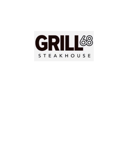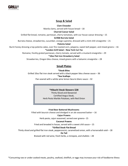

# **Soup & Salad**

**Clam Chowder**

Manila clams, served with house bread – 18

## **Charred Caesar Salad**

Grilled flat bread, romaine, parmesan, cherry tomatoes, with our house caesar dressing – 15

## **Grill68 Burrata Salad**

Burrata cheese, strawberries, cucumber, orange supreme, dressed with a mint chili vinaigrette – 21

### **Polenta Salad**

Burnt honey dressing a top polenta cakes, over fire roasted corn, jalapeno, sweet bell pepper, and mixed greens – 16

### **\*London Grill Salad – New York Cut 7oz**

Romaine, freshly grated parmesan, cherry tomato, served with a mustard vinaigrette – 29

## **\*10oz Flat Iron Strawberry Salad**

Strawberries, Oregon bleu cheese, mixed greens with a balsamic vinaigrette – 28

# **Small Plates**

#### **\*Steak Bites**

Grilled 10oz flat iron steak served with a black pepper bleu cheese sauce – 36 **\*Sea Scallops** 

Pan-seared with a white wine lemon beurre blanc sauce – 32

# **\*Hibachi Steak Skewers \$28**

Thinly Sliced and Skewered Certified Angus Steak, Herb Pesto Marble Potatoes, with Red Onion

# **Fried Beer Battered Mushrooms**

Filled with boursin cheese and dredged in an ale seasoned batter – 16

#### **Cajun Prawns**

Herb pesto, cajun seasoned, served over greens– 15

# **Coconut Prawns**

Fried and breaded in house, served with a sweet chili sauce – 15

# **\*Grilled Steak Flat Bread**

Thinly sliced and grilled flat iron steak, pepperoncini, caramelized onion, with a horseradish aioli – 18

#### **Ox Tail**

Braised with red wine, fresh herbs, a mirepoix, and shallots – 28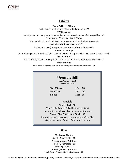

# **Entrée's**

**Flame Grilled ½ Chicken**

Herb-citrus brined, served with mashed potatoes – 29

**\*Wild Salmon**

Sockeye salmon, champagne tomato mignonette, served over sautéed vegetables – 42

# **\*Pan Seared "Frenched" Lamb Chops**

Marinaded in olive oil and fresh herbs, served with mashed potatoes – 48

### **Braised Lamb Shank "Osso Bucco"**

Braised with pan juices poured over our mushroom risotto – 48

### **Bone In Pork Chops**

Charred orange mustard brine, fig balsamic reduction, pineapple relish, over mashed potatoes – 38 **\*Steak "Frites"** 

7oz New York, sliced, a top cajun fried potatoes, served with our horseradish aioli – 42

### **\*10oz Flat Iron**

Balsamic herb glaze, served with herb pesto marbled potatoes – 38

| *From the Grill<br>(Certified Angus Beef)<br>Served A la Carte'                                                                                                                                                                                                                                       |                |
|-------------------------------------------------------------------------------------------------------------------------------------------------------------------------------------------------------------------------------------------------------------------------------------------------------|----------------|
| <b>Filet Mignon</b>                                                                                                                                                                                                                                                                                   | <b>10oz</b> 68 |
| New York                                                                                                                                                                                                                                                                                              | <b>14oz</b> 54 |
| <b>Ribeye</b>                                                                                                                                                                                                                                                                                         | $16oz$ 60      |
| <b>Specials</b><br>$*$ Surf-n-Turf – 86<br>22oz Certified Angus Grilled Ribeye, sliced and<br>served with your choice of cajun or coconut prawns<br>Couples 24oz Porterhouse Steak - 98<br>The KING of steaks, combines the tenderness of the Filet<br>Mignon and meaty flavors of the New York Strip |                |

# **Sides**

**Mushroom Risotto** Small – 8 Shareable – 12 **Creamy Mashed Potatoes** Small – 6 Shareable – 10 **Daily Vegetable** – 10 **Fried Cajun Potatoes** – 10 **Herb Pesto Tossed Marble Potatoes** – 12

\*Consuming raw or under cooked meats, poultry, seafood, shellfish, or eggs may increase your risk of foodborne illness